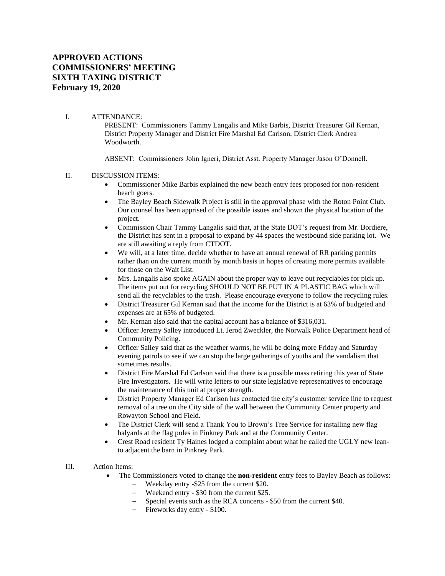## **APPROVED ACTIONS COMMISSIONERS' MEETING SIXTH TAXING DISTRICT February 19, 2020**

## I. ATTENDANCE:

PRESENT: Commissioners Tammy Langalis and Mike Barbis, District Treasurer Gil Kernan, District Property Manager and District Fire Marshal Ed Carlson, District Clerk Andrea Woodworth.

ABSENT: Commissioners John Igneri, District Asst. Property Manager Jason O'Donnell.

## II. DISCUSSION ITEMS:

- Commissioner Mike Barbis explained the new beach entry fees proposed for non-resident beach goers.
- The Bayley Beach Sidewalk Project is still in the approval phase with the Roton Point Club. Our counsel has been apprised of the possible issues and shown the physical location of the project.
- Commission Chair Tammy Langalis said that, at the State DOT's request from Mr. Bordiere, the District has sent in a proposal to expand by 44 spaces the westbound side parking lot. We are still awaiting a reply from CTDOT.
- We will, at a later time, decide whether to have an annual renewal of RR parking permits rather than on the current month by month basis in hopes of creating more permits available for those on the Wait List.
- Mrs. Langalis also spoke AGAIN about the proper way to leave out recyclables for pick up. The items put out for recycling SHOULD NOT BE PUT IN A PLASTIC BAG which will send all the recyclables to the trash. Please encourage everyone to follow the recycling rules.
- District Treasurer Gil Kernan said that the income for the District is at 63% of budgeted and expenses are at 65% of budgeted.
- Mr. Kernan also said that the capital account has a balance of \$316,031.
- Officer Jeremy Salley introduced Lt. Jerod Zweckler, the Norwalk Police Department head of Community Policing.
- Officer Salley said that as the weather warms, he will be doing more Friday and Saturday evening patrols to see if we can stop the large gatherings of youths and the vandalism that sometimes results.
- District Fire Marshal Ed Carlson said that there is a possible mass retiring this year of State Fire Investigators. He will write letters to our state legislative representatives to encourage the maintenance of this unit at proper strength.
- District Property Manager Ed Carlson has contacted the city's customer service line to request removal of a tree on the City side of the wall between the Community Center property and Rowayton School and Field.
- The District Clerk will send a Thank You to Brown's Tree Service for installing new flag halyards at the flag poles in Pinkney Park and at the Community Center.
- Crest Road resident Ty Haines lodged a complaint about what he called the UGLY new leanto adjacent the barn in Pinkney Park.
- III. Action Items:
	- The Commissioners voted to change the **non-resident** entry fees to Bayley Beach as follows:
		- Weekday entry -\$25 from the current \$20.
		- Weekend entry \$30 from the current \$25.
		- Special events such as the RCA concerts \$50 from the current \$40.
		- Fireworks day entry \$100.